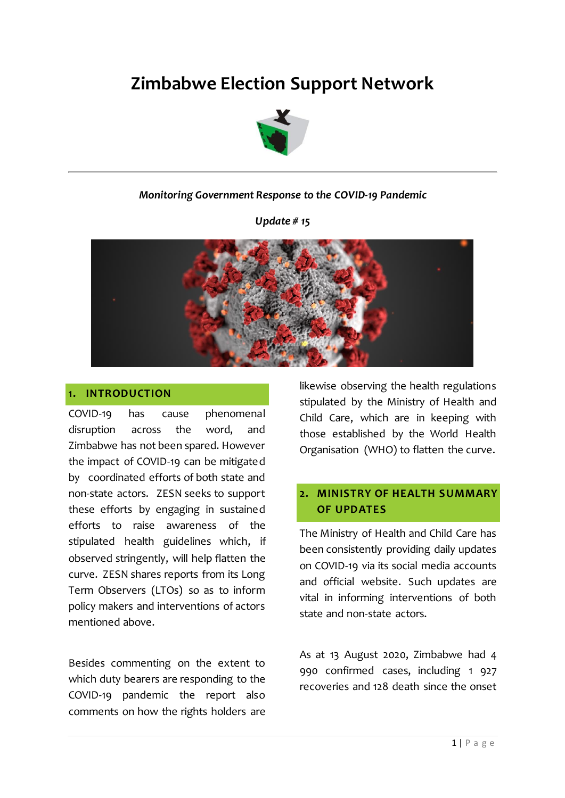# **Zimbabwe Election Support Network**



## *Monitoring Government Response to the COVID-19 Pandemic*

*Update # 15*



#### **1. INTRODUCTION**

COVID-19 has cause phenomenal disruption across the word, and Zimbabwe has not been spared. However the impact of COVID-19 can be mitigated by coordinated efforts of both state and non-state actors. ZESN seeks to support these efforts by engaging in sustained efforts to raise awareness of the stipulated health guidelines which, if observed stringently, will help flatten the curve. ZESN shares reports from its Long Term Observers (LTOs) so as to inform policy makers and interventions of actors mentioned above.

Besides commenting on the extent to which duty bearers are responding to the COVID-19 pandemic the report also comments on how the rights holders are likewise observing the health regulations stipulated by the Ministry of Health and Child Care, which are in keeping with those established by the World Health Organisation (WHO) to flatten the curve.

# **2. MINISTRY OF HEALTH SUMMARY OF UPDATES**

The Ministry of Health and Child Care has been consistently providing daily updates on COVID-19 via its social media accounts and official website. Such updates are vital in informing interventions of both state and non-state actors.

As at 13 August 2020, Zimbabwe had 4 990 confirmed cases, including 1 927 recoveries and 128 death since the onset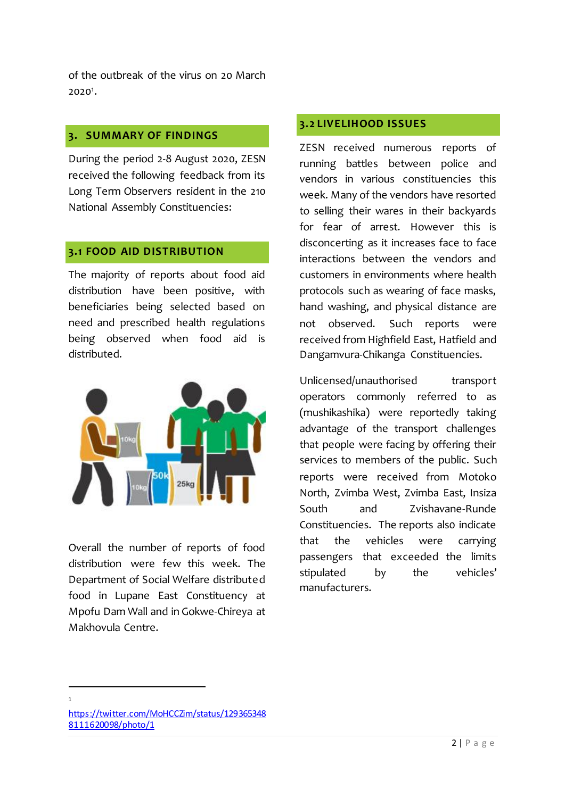of the outbreak of the virus on 20 March  $2020<sup>1</sup>$ .

#### **3. SUMMARY OF FINDINGS**

During the period 2-8 August 2020, ZESN received the following feedback from its Long Term Observers resident in the 210 National Assembly Constituencies:

#### **3.1 FOOD AID DISTRIBUTION**

The majority of reports about food aid distribution have been positive, with beneficiaries being selected based on need and prescribed health regulations being observed when food aid is distributed.



Overall the number of reports of food distribution were few this week. The Department of Social Welfare distributed food in Lupane East Constituency at Mpofu Dam Wall and in Gokwe-Chireya at Makhovula Centre.

#### **3.2 LIVELIHOOD ISSUES**

ZESN received numerous reports of running battles between police and vendors in various constituencies this week. Many of the vendors have resorted to selling their wares in their backyards for fear of arrest. However this is disconcerting as it increases face to face interactions between the vendors and customers in environments where health protocols such as wearing of face masks, hand washing, and physical distance are not observed. Such reports were received from Highfield East, Hatfield and Dangamvura-Chikanga Constituencies.

Unlicensed/unauthorised transport operators commonly referred to as (mushikashika) were reportedly taking advantage of the transport challenges that people were facing by offering their services to members of the public. Such reports were received from Motoko North, Zvimba West, Zvimba East, Insiza South and Zvishavane-Runde Constituencies. The reports also indicate that the vehicles were carrying passengers that exceeded the limits stipulated by the vehicles' manufacturers.

l 1

[https://twitter.com/MoHCCZim/status/129365348](https://twitter.com/MoHCCZim/status/1293653488111620098/photo/1) [8111620098/photo/1](https://twitter.com/MoHCCZim/status/1293653488111620098/photo/1)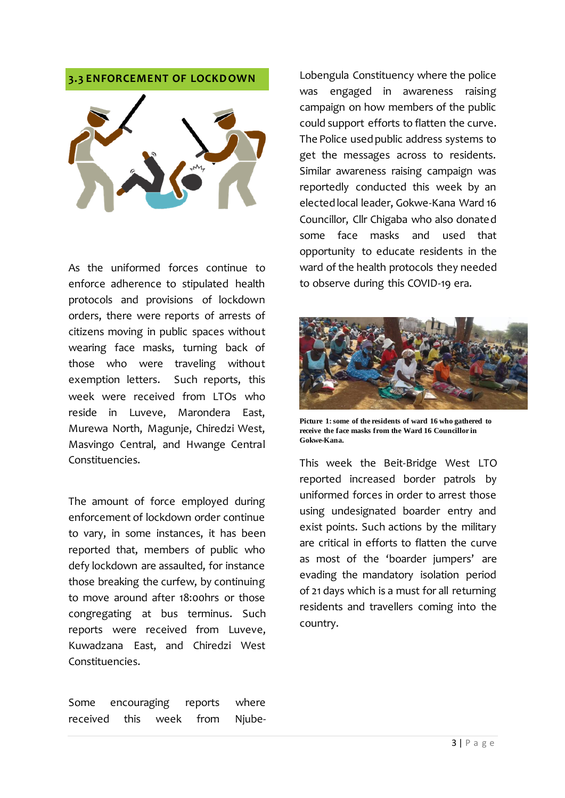## **3.3 ENFORCEMENT OF LOCKDOWN**



As the uniformed forces continue to enforce adherence to stipulated health protocols and provisions of lockdown orders, there were reports of arrests of citizens moving in public spaces without wearing face masks, turning back of those who were traveling without exemption letters. Such reports, this week were received from LTOs who reside in Luveve, Marondera East, Murewa North, Magunje, Chiredzi West, Masvingo Central, and Hwange Central Constituencies.

The amount of force employed during enforcement of lockdown order continue to vary, in some instances, it has been reported that, members of public who defy lockdown are assaulted, for instance those breaking the curfew, by continuing to move around after 18:00hrs or those congregating at bus terminus. Such reports were received from Luveve, Kuwadzana East, and Chiredzi West Constituencies.

Lobengula Constituency where the police was engaged in awareness raising campaign on how members of the public could support efforts to flatten the curve. The Police used public address systems to get the messages across to residents. Similar awareness raising campaign was reportedly conducted this week by an elected local leader, Gokwe-Kana Ward 16 Councillor, Cllr Chigaba who also donated some face masks and used that opportunity to educate residents in the ward of the health protocols they needed to observe during this COVID-19 era.



**Picture 1: some of the residents of ward 16 who gathered to receive the face masks from the Ward 16 Councillor in Gokwe-Kana.**

This week the Beit-Bridge West LTO reported increased border patrols by uniformed forces in order to arrest those using undesignated boarder entry and exist points. Such actions by the military are critical in efforts to flatten the curve as most of the 'boarder jumpers' are evading the mandatory isolation period of 21 days which is a must for all returning residents and travellers coming into the country.

Some encouraging reports where received this week from Njube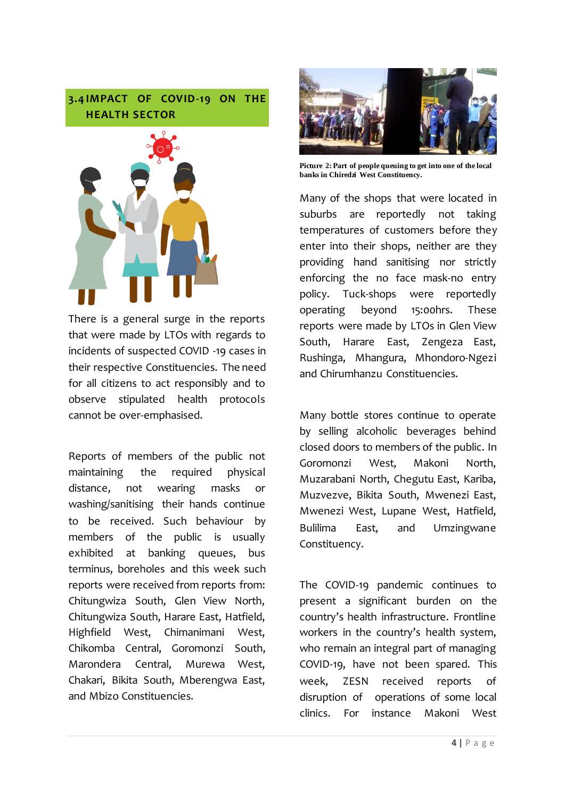**3.4 IMPACT OF COVID-19 ON THE HEALTH SECTOR**



There is a general surge in the reports that were made by LTOs with regards to incidents of suspected COVID -19 cases in their respective Constituencies. The need for all citizens to act responsibly and to observe stipulated health protocols cannot be over-emphasised.

Reports of members of the public not maintaining the required physical distance, not wearing masks or washing/sanitising their hands continue to be received. Such behaviour by members of the public is usually exhibited at banking queues, bus terminus, boreholes and this week such reports were received from reports from: Chitungwiza South, Glen View North, Chitungwiza South, Harare East, Hatfield, Highfield West, Chimanimani West, Chikomba Central, Goromonzi South, Marondera Central, Murewa West, Chakari, Bikita South, Mberengwa East, and Mbizo Constituencies.



**Picture 2: Part of people queuing to get into one of the local banks in Chiredzi West Constituency.**

Many of the shops that were located in suburbs are reportedly not taking temperatures of customers before they enter into their shops, neither are they providing hand sanitising nor strictly enforcing the no face mask-no entry policy. Tuck-shops were reportedly operating beyond 15:00hrs. These reports were made by LTOs in Glen View South, Harare East, Zengeza East, Rushinga, Mhangura, Mhondoro-Ngezi and Chirumhanzu Constituencies.

Many bottle stores continue to operate by selling alcoholic beverages behind closed doors to members of the public. In Goromonzi West, Makoni North, Muzarabani North, Chegutu East, Kariba, Muzvezve, Bikita South, Mwenezi East, Mwenezi West, Lupane West, Hatfield, Bulilima East, and Umzingwane Constituency.

The COVID-19 pandemic continues to present a significant burden on the country's health infrastructure. Frontline workers in the country's health system, who remain an integral part of managing COVID-19, have not been spared. This week, ZESN received reports of disruption of operations of some local clinics. For instance Makoni West